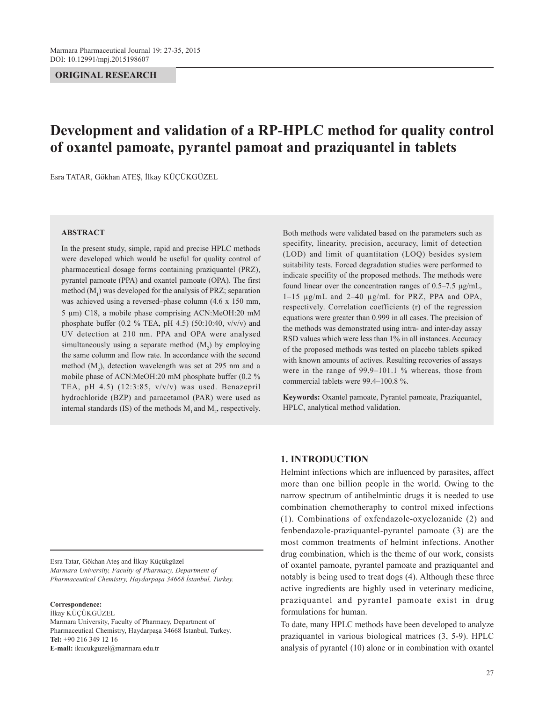## **ORIGINAL RESEARCH**

# **Development and validation of a RP-HPLC method for quality control of oxantel pamoate, pyrantel pamoat and praziquantel in tablets**

Esra TATAR, Gökhan ATEŞ, İlkay KÜÇÜKGÜZEL

#### **ABSTRACT**

In the present study, simple, rapid and precise HPLC methods were developed which would be useful for quality control of pharmaceutical dosage forms containing praziquantel (PRZ), pyrantel pamoate (PPA) and oxantel pamoate (OPA). The first method  $(M_1)$  was developed for the analysis of PRZ; separation was achieved using a reversed–phase column (4.6 x 150 mm, 5 µm) C18, a mobile phase comprising ACN:MeOH:20 mM phosphate buffer (0.2 % TEA, pH 4.5) (50:10:40,  $v/v/v$ ) and UV detection at 210 nm. PPA and OPA were analysed simultaneously using a separate method  $(M_2)$  by employing the same column and flow rate. In accordance with the second method  $(M_2)$ , detection wavelength was set at 295 nm and a mobile phase of ACN:MeOH:20 mM phosphate buffer (0.2 % TEA, pH 4.5) (12:3:85, v/v/v) was used. Benazepril hydrochloride (BZP) and paracetamol (PAR) were used as internal standards (IS) of the methods  $M_1$  and  $M_2$ , respectively. Both methods were validated based on the parameters such as specifity, linearity, precision, accuracy, limit of detection (LOD) and limit of quantitation (LOQ) besides system suitability tests. Forced degradation studies were performed to indicate specifity of the proposed methods. The methods were found linear over the concentration ranges of 0.5–7.5 µg/mL, 1–15 µg/mL and 2–40 µg/mL for PRZ, PPA and OPA, respectively. Correlation coefficients (r) of the regression equations were greater than 0.999 in all cases. The precision of the methods was demonstrated using intra- and inter-day assay RSD values which were less than 1% in all instances. Accuracy of the proposed methods was tested on placebo tablets spiked with known amounts of actives. Resulting recoveries of assays were in the range of 99.9–101.1 % whereas, those from commercial tablets were 99.4–100.8 %.

**Keywords:** Oxantel pamoate, Pyrantel pamoate, Praziquantel, HPLC, analytical method validation.

Esra Tatar, Gökhan Ateş and İlkay Küçükgüzel *Marmara University, Faculty of Pharmacy, Department of Pharmaceutical Chemistry, Haydarpaşa 34668 İstanbul, Turkey.*

#### **Correspondence:**

İlkay KÜÇÜKGÜZEL Marmara University, Faculty of Pharmacy, Department of Pharmaceutical Chemistry, Haydarpaşa 34668 İstanbul, Turkey. **Tel:** +90 216 349 12 16 **E-mail:** ikucukguzel@marmara.edu.tr

## **1. INTRODUCTION**

Helmint infections which are influenced by parasites, affect more than one billion people in the world. Owing to the narrow spectrum of antihelmintic drugs it is needed to use combination chemotheraphy to control mixed infections (1). Combinations of oxfendazole-oxyclozanide (2) and fenbendazole-praziquantel-pyrantel pamoate (3) are the most common treatments of helmint infections. Another drug combination, which is the theme of our work, consists of oxantel pamoate, pyrantel pamoate and praziquantel and notably is being used to treat dogs (4). Although these three active ingredients are highly used in veterinary medicine, praziquantel and pyrantel pamoate exist in drug formulations for human.

To date, many HPLC methods have been developed to analyze praziquantel in various biological matrices (3, 5-9). HPLC analysis of pyrantel (10) alone or in combination with oxantel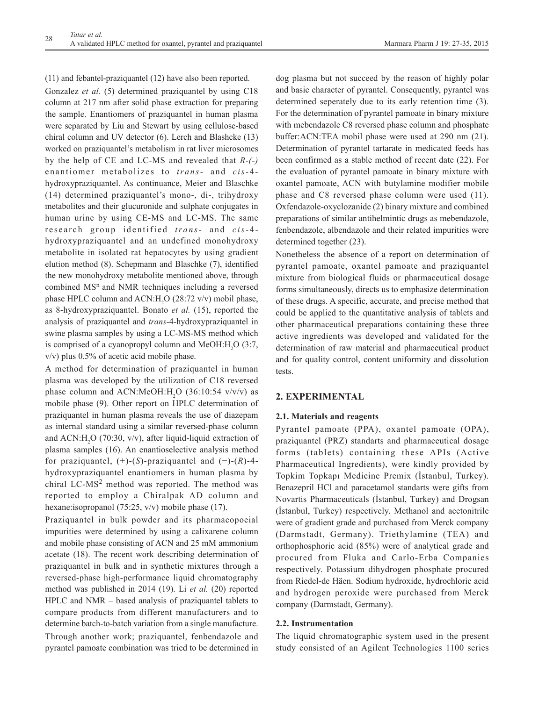(11) and febantel-praziquantel (12) have also been reported. Gonzalez *et al*. (5) determined praziquantel by using C18 column at 217 nm after solid phase extraction for preparing the sample. Enantiomers of praziquantel in human plasma were separated by Liu and Stewart by using cellulose-based chiral column and UV detector (6). Lerch and Blashcke (13) worked on praziquantel's metabolism in rat liver microsomes by the help of CE and LC-MS and revealed that *R-(-)* enantiomer metabolizes to *trans*- and *cis*-4 hydroxypraziquantel. As continuance, Meier and Blaschke (14) determined praziquantel's mono-, di-, trihydroxy metabolites and their glucuronide and sulphate conjugates in human urine by using CE-MS and LC-MS. The same research group identified *trans*- and *cis*-4 hydroxypraziquantel and an undefined monohydroxy metabolite in isolated rat hepatocytes by using gradient elution method (8). Schepmann and Blaschke (7), identified the new monohydroxy metabolite mentioned above, through combined MS<sup>n</sup> and NMR techniques including a reversed phase HPLC column and  $ACN:H_2O(28:72 \text{ v/v})$  mobil phase, as 8-hydroxypraziquantel. Bonato *et al.* (15), reported the analysis of praziquantel and *trans*-4-hydroxypraziquantel in swine plasma samples by using a LC-MS-MS method which is comprised of a cyanopropyl column and MeOH: $H_2O$  (3:7, v/v) plus 0.5% of acetic acid mobile phase.

A method for determination of praziquantel in human plasma was developed by the utilization of C18 reversed phase column and  $ACN$ : $MeOH$ : $H_2O$  (36:10:54 v/v/v) as mobile phase (9). Other report on HPLC determination of praziquantel in human plasma reveals the use of diazepam as internal standard using a similar reversed-phase column and  $ACN:H_2O$  (70:30, v/v), after liquid-liquid extraction of plasma samples (16). An enantioselective analysis method for praziquantel, (+)-(*S*)-praziquantel and (−)-(*R*)-4 hydroxypraziquantel enantiomers in human plasma by chiral LC-MS<sup>2</sup> method was reported. The method was reported to employ a Chiralpak AD column and hexane:isopropanol (75:25, v/v) mobile phase (17).

Praziquantel in bulk powder and its pharmacopoeial impurities were determined by using a calixarene column and mobile phase consisting of ACN and 25 mM ammonium acetate (18). The recent work describing determination of praziquantel in bulk and in synthetic mixtures through a reversed-phase high-performance liquid chromatography method was published in 2014 (19). Li *et al.* (20) reported HPLC and NMR – based analysis of praziquantel tablets to compare products from different manufacturers and to determine batch-to-batch variation from a single manufacture. Through another work; praziquantel, fenbendazole and pyrantel pamoate combination was tried to be determined in

dog plasma but not succeed by the reason of highly polar and basic character of pyrantel. Consequently, pyrantel was determined seperately due to its early retention time (3). For the determination of pyrantel pamoate in binary mixture with mebendazole C8 reversed phase column and phosphate buffer:ACN:TEA mobil phase were used at 290 nm (21). Determination of pyrantel tartarate in medicated feeds has been confirmed as a stable method of recent date (22). For the evaluation of pyrantel pamoate in binary mixture with oxantel pamoate, ACN with butylamine modifier mobile phase and C8 reversed phase column were used (11). Oxfendazole-oxyclozanide (2) binary mixture and combined preparations of similar antihelmintic drugs as mebendazole, fenbendazole, albendazole and their related impurities were determined together (23).

Nonetheless the absence of a report on determination of pyrantel pamoate, oxantel pamoate and praziquantel mixture from biological fluids or pharmaceutical dosage forms simultaneously, directs us to emphasize determination of these drugs. A specific, accurate, and precise method that could be applied to the quantitative analysis of tablets and other pharmaceutical preparations containing these three active ingredients was developed and validated for the determination of raw material and pharmaceutical product and for quality control, content uniformity and dissolution tests.

## **2. EXPERIMENTAL**

## **2.1. Materials and reagents**

Pyrantel pamoate (PPA), oxantel pamoate (OPA), praziquantel (PRZ) standarts and pharmaceutical dosage forms (tablets) containing these APIs (Active Pharmaceutical Ingredients), were kindly provided by Topkim Topkapı Medicine Premix (İstanbul, Turkey). Benazepril HCl and paracetamol standarts were gifts from Novartis Pharmaceuticals (İstanbul, Turkey) and Drogsan (İstanbul, Turkey) respectively. Methanol and acetonitrile were of gradient grade and purchased from Merck company (Darmstadt, Germany). Triethylamine (TEA) and orthophosphoric acid (85%) were of analytical grade and procured from Fluka and Carlo-Erba Companies respectively. Potassium dihydrogen phosphate procured from Riedel-de Häen. Sodium hydroxide, hydrochloric acid and hydrogen peroxide were purchased from Merck company (Darmstadt, Germany).

## **2.2. Instrumentation**

The liquid chromatographic system used in the present study consisted of an Agilent Technologies 1100 series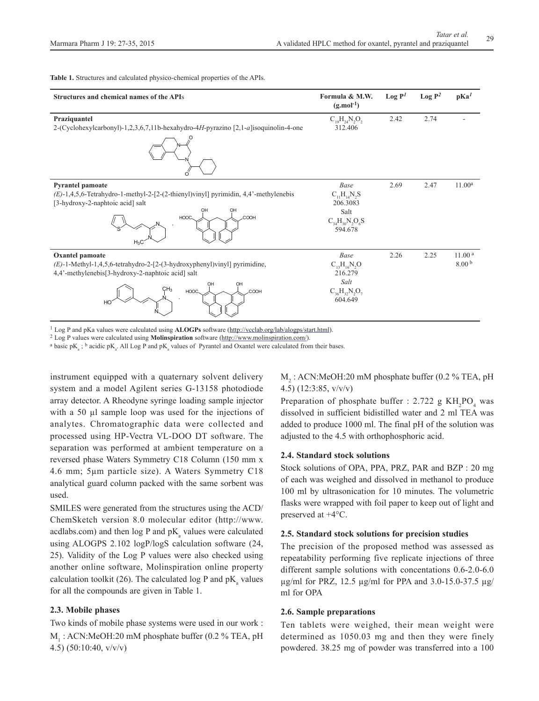**Table 1.** Structures and calculated physico-chemical properties of the APIs.

| Structures and chemical names of the APIs                                                                                                                                                           | Formula & M.W.<br>$(g$ .mol <sup>-1</sup> )                                        | $\text{Log } P^I$ | Log P <sup>2</sup> | pKa <sup>1</sup>                        |
|-----------------------------------------------------------------------------------------------------------------------------------------------------------------------------------------------------|------------------------------------------------------------------------------------|-------------------|--------------------|-----------------------------------------|
| Praziquantel<br>2-(Cyclohexylcarbonyl)-1,2,3,6,7,11b-hexahydro-4H-pyrazino [2,1-a]isoquinolin-4-one                                                                                                 | $C_{19}H_{24}N_2O_2$<br>312.406                                                    | 2.42              | 2.74               |                                         |
| Pyrantel pamoate<br>$(E)$ -1,4,5,6-Tetrahydro-1-methyl-2-[2-(2-thienyl)vinyl] pyrimidin, 4,4'-methylenebis<br>[3-hydroxy-2-naphtoic acid] salt<br>COOH<br>HOOC<br>$H_3C$                            | Base<br>$C_{11}H_{14}N_5S$<br>206.3083<br>Salt<br>$C_{34}H_{30}N_2O_6S$<br>594.678 | 2.69              | 2.47               | 11.00 <sup>a</sup>                      |
| Oxantel pamoate<br>$(E)$ -1-Methyl-1,4,5,6-tetrahydro-2-[2-(3-hydroxyphenyl)vinyl] pyrimidine,<br>4,4'-methylenebis[3-hydroxy-2-naphtoic acid] salt<br>OH<br>CH <sub>3</sub><br>HOOC.<br>COOH<br>HO | Base<br>$C_{13}H_{16}N_{2}O$<br>216.279<br>Salt<br>$C_{36}H_{32}N_2O_7$<br>604.649 | 2.26              | 2.25               | 11.00 <sup>a</sup><br>8.00 <sup>b</sup> |

<sup>1</sup> Log P and pKa values were calculated using **ALOGPs** software (http://vcclab.org/lab/alogps/start.html).

2 Log P values were calculated using **Molinspiration** software (http://www.molinspiration.com/).

<sup>a</sup> basic p $K_a$ ; <sup>b</sup> acidic p $K_a$ . All Log P and p $K_a$  values of Pyrantel and Oxantel were calculated from their bases.

instrument equipped with a quaternary solvent delivery system and a model Agilent series G-13158 photodiode array detector. A Rheodyne syringe loading sample injector with a 50 µl sample loop was used for the injections of analytes. Chromatographic data were collected and processed using HP-Vectra VL-DOO DT software. The separation was performed at ambient temperature on a reversed phase Waters Symmetry C18 Column (150 mm x 4.6 mm; 5µm particle size). A Waters Symmetry C18 analytical guard column packed with the same sorbent was used.

SMILES were generated from the structures using the ACD/ ChemSketch version 8.0 molecular editor (http://www. acdlabs.com) and then  $log P$  and  $pK_a$  values were calculated using ALOGPS 2.102 logP/logS calculation software (24, 25). Validity of the Log P values were also checked using another online software, Molinspiration online property calculation toolkit (26). The calculated log P and  $pK_a$  values for all the compounds are given in Table 1.

## **2.3. Mobile phases**

Two kinds of mobile phase systems were used in our work : M<sub>1</sub>: ACN:MeOH:20 mM phosphate buffer (0.2 % TEA, pH 4.5) (50:10:40, v/v/v)

M<sub>2</sub>: ACN:MeOH:20 mM phosphate buffer (0.2 % TEA, pH 4.5) (12:3:85, v/v/v)

Preparation of phosphate buffer : 2.722 g  $KH_{2}PO_{4}$  was dissolved in sufficient bidistilled water and 2 ml TEA was added to produce 1000 ml. The final pH of the solution was adjusted to the 4.5 with orthophosphoric acid.

#### **2.4. Standard stock solutions**

Stock solutions of OPA, PPA, PRZ, PAR and BZP : 20 mg of each was weighed and dissolved in methanol to produce 100 ml by ultrasonication for 10 minutes. The volumetric flasks were wrapped with foil paper to keep out of light and preserved at +4°C.

#### **2.5. Standard stock solutions for precision studies**

The precision of the proposed method was assessed as repeatability performing five replicate injections of three different sample solutions with concentations 0.6-2.0-6.0 µg/ml for PRZ, 12.5 µg/ml for PPA and 3.0-15.0-37.5 µg/ ml for OPA

## **2.6. Sample preparations**

Ten tablets were weighed, their mean weight were determined as 1050.03 mg and then they were finely powdered. 38.25 mg of powder was transferred into a 100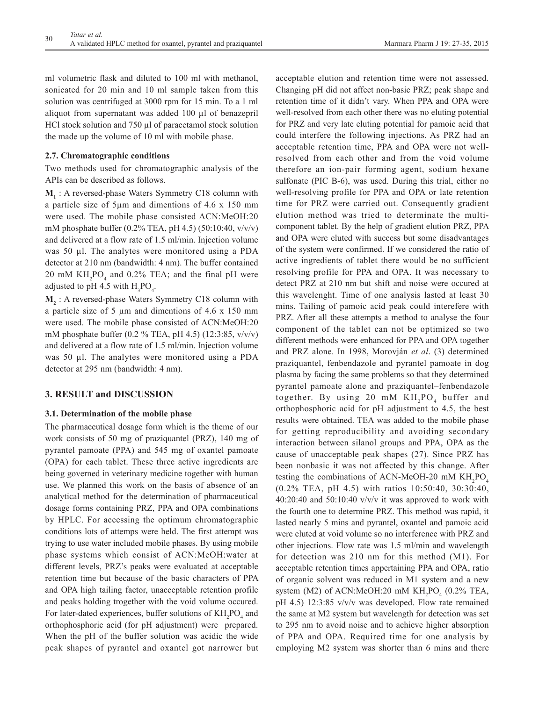ml volumetric flask and diluted to 100 ml with methanol, sonicated for 20 min and 10 ml sample taken from this solution was centrifuged at 3000 rpm for 15 min. To a 1 ml aliquot from supernatant was added 100 µl of benazepril HCl stock solution and 750 µl of paracetamol stock solution the made up the volume of 10 ml with mobile phase.

## **2.7. Chromatographic conditions**

Two methods used for chromatographic analysis of the APIs can be described as follows.

**M1** : A reversed-phase Waters Symmetry C18 column with a particle size of 5µm and dimentions of 4.6 x 150 mm were used. The mobile phase consisted ACN:MeOH:20 mM phosphate buffer (0.2% TEA, pH 4.5) (50:10:40, v/v/v) and delivered at a flow rate of 1.5 ml/min. Injection volume was 50 µl. The analytes were monitored using a PDA detector at 210 nm (bandwidth: 4 nm). The buffer contained 20 mM  $KH_2PO_4$  and 0.2% TEA; and the final pH were adjusted to pH 4.5 with  $H_3PO_4$ .

**M2** : A reversed-phase Waters Symmetry C18 column with a particle size of 5  $\mu$ m and dimentions of 4.6 x 150 mm were used. The mobile phase consisted of ACN:MeOH:20 mM phosphate buffer  $(0.2 % TEA, pH 4.5) (12:3:85, v/v/v)$ and delivered at a flow rate of 1.5 ml/min. Injection volume was 50 µl. The analytes were monitored using a PDA detector at 295 nm (bandwidth: 4 nm).

## **3. RESULT and DISCUSSION**

## **3.1. Determination of the mobile phase**

The pharmaceutical dosage form which is the theme of our work consists of 50 mg of praziquantel (PRZ), 140 mg of pyrantel pamoate (PPA) and 545 mg of oxantel pamoate (OPA) for each tablet. These three active ingredients are being governed in veterinary medicine together with human use. We planned this work on the basis of absence of an analytical method for the determination of pharmaceutical dosage forms containing PRZ, PPA and OPA combinations by HPLC. For accessing the optimum chromatographic conditions lots of attemps were held. The first attempt was trying to use water included mobile phases. By using mobile phase systems which consist of ACN:MeOH:water at different levels, PRZ's peaks were evaluated at acceptable retention time but because of the basic characters of PPA and OPA high tailing factor, unacceptable retention profile and peaks holding trogether with the void volume occured. For later-dated experiences, buffer solutions of  $KH_2PO_4$  and orthophosphoric acid (for pH adjustment) were prepared. When the pH of the buffer solution was acidic the wide peak shapes of pyrantel and oxantel got narrower but

acceptable elution and retention time were not assessed. Changing pH did not affect non-basic PRZ; peak shape and retention time of it didn't vary. When PPA and OPA were well-resolved from each other there was no eluting potential for PRZ and very late eluting potential for pamoic acid that could interfere the following injections. As PRZ had an acceptable retention time, PPA and OPA were not wellresolved from each other and from the void volume therefore an ion-pair forming agent, sodium hexane sulfonate (PIC B-6), was used. During this trial, either no well-resolving profile for PPA and OPA or late retention time for PRZ were carried out. Consequently gradient elution method was tried to determinate the multicomponent tablet. By the help of gradient elution PRZ, PPA and OPA were eluted with success but some disadvantages of the system were confirmed. If we considered the ratio of active ingredients of tablet there would be no sufficient resolving profile for PPA and OPA. It was necessary to detect PRZ at 210 nm but shift and noise were occured at this wavelenght. Time of one analysis lasted at least 30 mins. Tailing of pamoic acid peak could interefere with PRZ. After all these attempts a method to analyse the four component of the tablet can not be optimized so two different methods were enhanced for PPA and OPA together and PRZ alone. In 1998, Morovján *et al*. (3) determined praziquantel, fenbendazole and pyrantel pamoate in dog plasma by facing the same problems so that they determined pyrantel pamoate alone and praziquantel–fenbendazole together. By using 20 mM  $KH_2PO_4$  buffer and orthophosphoric acid for pH adjustment to 4.5, the best results were obtained. TEA was added to the mobile phase for getting reproducibility and avoiding secondary interaction between silanol groups and PPA, OPA as the cause of unacceptable peak shapes (27). Since PRZ has been nonbasic it was not affected by this change. After testing the combinations of ACN-MeOH-20 mM  $KH_{2}PO_{4}$ (0.2% TEA, pH 4.5) with ratios 10:50:40, 30:30:40,  $40:20:40$  and  $50:10:40$  v/v/v it was approved to work with the fourth one to determine PRZ. This method was rapid, it lasted nearly 5 mins and pyrantel, oxantel and pamoic acid were eluted at void volume so no interference with PRZ and other injections. Flow rate was 1.5 ml/min and wavelength for detection was 210 nm for this method (M1). For acceptable retention times appertaining PPA and OPA, ratio of organic solvent was reduced in M1 system and a new system (M2) of ACN:MeOH:20 mM  $KH_2PO_4$  (0.2% TEA, pH 4.5) 12:3:85 v/v/v was developed. Flow rate remained the same at M2 system but wavelength for detection was set to 295 nm to avoid noise and to achieve higher absorption of PPA and OPA. Required time for one analysis by employing M2 system was shorter than 6 mins and there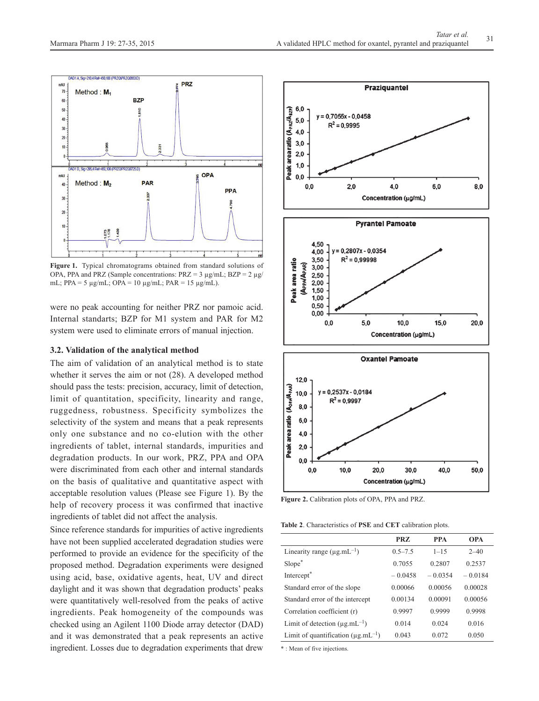

**Figure 1.** Typical chromatograms obtained from standard solutions of OPA, PPA and PRZ (Sample concentrations:  $PRZ = 3 \mu g/mL$ ;  $BZP = 2 \mu g/L$ mL; PPA =  $5 \mu$ g/mL; OPA =  $10 \mu$ g/mL; PAR =  $15 \mu$ g/mL).

were no peak accounting for neither PRZ nor pamoic acid. Internal standarts; BZP for M1 system and PAR for M2 system were used to eliminate errors of manual injection.

## **3.2. Validation of the analytical method**

The aim of validation of an analytical method is to state whether it serves the aim or not (28). A developed method should pass the tests: precision, accuracy, limit of detection, limit of quantitation, specificity, linearity and range, ruggedness, robustness. Specificity symbolizes the selectivity of the system and means that a peak represents only one substance and no co-elution with the other ingredients of tablet, internal standards, impurities and degradation products. In our work, PRZ, PPA and OPA were discriminated from each other and internal standards on the basis of qualitative and quantitative aspect with acceptable resolution values (Please see Figure 1). By the help of recovery process it was confirmed that inactive ingredients of tablet did not affect the analysis.

Since reference standards for impurities of active ingredients have not been supplied accelerated degradation studies were performed to provide an evidence for the specificity of the proposed method. Degradation experiments were designed using acid, base, oxidative agents, heat, UV and direct daylight and it was shown that degradation products' peaks were quantitatively well-resolved from the peaks of active ingredients. Peak homogeneity of the compounds was checked using an Agilent 1100 Diode array detector (DAD) and it was demonstrated that a peak represents an active ingredient. Losses due to degradation experiments that drew



**Figure 2.** Calibration plots of OPA, PPA and PRZ.

**Table 2**. Characteristics of **PSE** and **CET** calibration plots.

|                                           | PRZ         | <b>PPA</b> | <b>OPA</b> |
|-------------------------------------------|-------------|------------|------------|
| Linearity range $(\mu g.mL^{-1})$         | $0.5 - 7.5$ | $1 - 15$   | $2 - 40$   |
| Slope*                                    | 0.7055      | 0.2807     | 0.2537     |
| Intercept <sup>*</sup>                    | $-0.0458$   | $-0.0354$  | $-0.0184$  |
| Standard error of the slope               | 0.00066     | 0.00056    | 0.00028    |
| Standard error of the intercept           | 0.00134     | 0.00091    | 0.00056    |
| Correlation coefficient (r)               | 0.9997      | 0.9999     | 0.9998     |
| Limit of detection $(\mu g.mL^{-1})$      | 0.014       | 0.024      | 0.016      |
| Limit of quantification $(\mu g.mL^{-1})$ | 0.043       | 0.072      | 0.050      |

\* : Mean of five injections.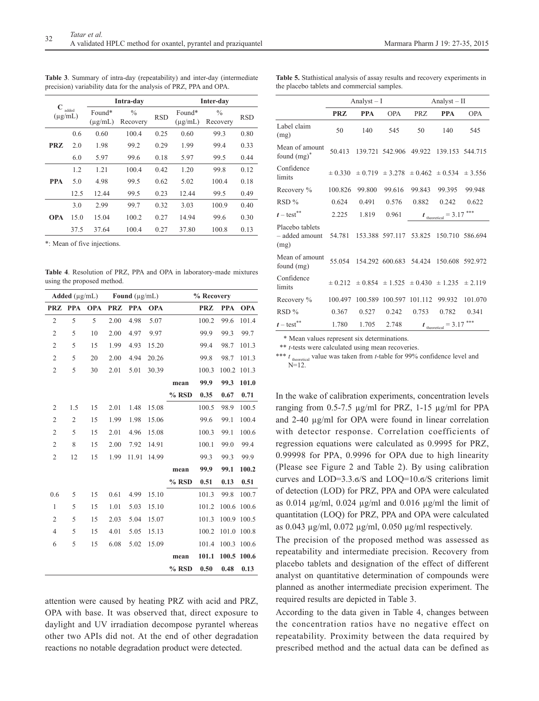**Table 3**. Summary of intra-day (repeatability) and inter-day (intermediate precision) variability data for the analysis of PRZ, PPA and OPA.

|              |       |                        | Intra-day                 |            | Inter-day              |                           |            |  |
|--------------|-------|------------------------|---------------------------|------------|------------------------|---------------------------|------------|--|
| $(\mu$ g/mL) | added | Found*<br>$(\mu$ g/mL) | $\frac{0}{0}$<br>Recovery | <b>RSD</b> | Found*<br>$(\mu$ g/mL) | $\frac{0}{0}$<br>Recovery | <b>RSD</b> |  |
|              | 0.6   | 0.60                   | 100.4                     | 0.25       | 0.60                   | 99.3                      | 0.80       |  |
| <b>PRZ</b>   | 2.0   | 1.98                   | 99.2                      | 0.29       | 1.99                   | 99.4                      | 0.33       |  |
|              | 6.0   | 5.97                   | 99.6                      | 0.18       | 5.97                   | 99.5                      | 0.44       |  |
|              | 1.2   | 1.21                   | 100.4                     | 0.42       | 1.20                   | 99.8                      | 0.12       |  |
| <b>PPA</b>   | 5.0   | 4.98                   | 99.5                      | 0.62       | 5.02                   | 100.4                     | 0.18       |  |
|              | 12.5  | 12.44                  | 99.5                      | 0.23       | 12.44                  | 99.5                      | 0.49       |  |
|              | 3.0   | 2.99                   | 99.7                      | 0.32       | 3.03                   | 100.9                     | 0.40       |  |
| <b>OPA</b>   | 15.0  | 15.04                  | 100.2                     | 0.27       | 14.94                  | 99.6                      | 0.30       |  |
|              | 37.5  | 37.64                  | 100.4                     | 0.27       | 37.80                  | 100.8                     | 0.13       |  |

\*: Mean of five injections.

**Table 4**. Resolution of PRZ, PPA and OPA in laboratory-made mixtures using the proposed method.

|                | Added $(\mu g/mL)$ |            |            | Found $(\mu g/mL)$ |            |         | % Recovery |            |            |
|----------------|--------------------|------------|------------|--------------------|------------|---------|------------|------------|------------|
| <b>PRZ</b>     | <b>PPA</b>         | <b>OPA</b> | <b>PRZ</b> | <b>PPA</b>         | <b>OPA</b> |         | <b>PRZ</b> | <b>PPA</b> | <b>OPA</b> |
| $\overline{2}$ | 5                  | 5          | 2.00       | 4.98               | 5.07       |         | 100.2      | 99.6       | 101.4      |
| $\overline{2}$ | 5                  | 10         | 2.00       | 4.97               | 9.97       |         | 99.9       | 99.3       | 99.7       |
| $\overline{2}$ | 5                  | 15         | 1.99       | 4.93               | 15.20      |         | 99.4       | 98.7       | 101.3      |
| $\overline{2}$ | 5                  | 20         | 2.00       | 4.94               | 20.26      |         | 99.8       | 98.7       | 101.3      |
| $\overline{2}$ | 5                  | 30         | 2.01       | 5.01               | 30.39      |         | 100.3      | 100.2      | 101.3      |
|                |                    |            |            |                    |            | mean    | 99.9       | 99.3       | 101.0      |
|                |                    |            |            |                    |            | % RSD   | 0.35       | 0.67       | 0.71       |
| 2              | 1.5                | 15         | 2.01       | 1.48               | 15.08      |         | 100.5      | 98.9       | 100.5      |
| $\overline{2}$ | $\overline{2}$     | 15         | 1.99       | 1.98               | 15.06      |         | 99.6       | 99.1       | 100.4      |
| $\overline{c}$ | 5                  | 15         | 2.01       | 4.96               | 15.08      |         | 100.3      | 99.1       | 100.6      |
| $\overline{2}$ | 8                  | 15         | 2.00       | 7.92               | 14.91      |         | 100.1      | 99.0       | 99.4       |
| $\overline{2}$ | 12                 | 15         | 1.99       | 11.91              | 14.99      |         | 99.3       | 99.3       | 99.9       |
|                |                    |            |            |                    |            | mean    | 99.9       | 99.1       | 100.2      |
|                |                    |            |            |                    |            | % RSD   | 0.51       | 0.13       | 0.51       |
| 0.6            | 5                  | 15         | 0.61       | 4.99               | 15.10      |         | 101.3      | 99.8       | 100.7      |
| 1              | 5                  | 15         | 1.01       | 5.03               | 15.10      |         | 101.2      | 100.6      | 100.6      |
| $\overline{2}$ | 5                  | 15         | 2.03       | 5.04               | 15.07      |         | 101.3      | 100.9      | 100.5      |
| $\overline{4}$ | 5                  | 15         | 4.01       | 5.05               | 15.13      |         | 100.2      | 101.0      | 100.8      |
| 6              | 5                  | 15         | 6.08       | 5.02               | 15.09      |         | 101.4      | 100.3      | 100.6      |
|                |                    |            |            |                    |            | mean    | 101.1      | 100.5      | 100.6      |
|                |                    |            |            |                    |            | $%$ RSD | 0.50       | 0.48       | 0.13       |

attention were caused by heating PRZ with acid and PRZ, OPA with base. It was observed that, direct exposure to daylight and UV irradiation decompose pyrantel whereas other two APIs did not. At the end of other degradation reactions no notable degradation product were detected.

**Table 5.** Stathistical analysis of assay results and recovery experiments in the placebo tablets and commercial samples.

|            |            |                            | Analyst $-$ II                              |                                           |                                                                                                                                                                     |  |
|------------|------------|----------------------------|---------------------------------------------|-------------------------------------------|---------------------------------------------------------------------------------------------------------------------------------------------------------------------|--|
| <b>PRZ</b> | <b>PPA</b> | <b>OPA</b>                 | <b>PRZ</b>                                  | <b>PPA</b>                                | <b>OPA</b>                                                                                                                                                          |  |
| 50         | 140        | 545                        | 50                                          | 140                                       | 545                                                                                                                                                                 |  |
| 50.413     |            |                            |                                             | 139.153 544.715                           |                                                                                                                                                                     |  |
|            |            |                            |                                             |                                           |                                                                                                                                                                     |  |
| 100.826    | 99.800     | 99.616                     | 99.843                                      | 99.395                                    | 99.948                                                                                                                                                              |  |
| 0.624      | 0.491      | 0.576                      | 0.882                                       | 0.242                                     | 0.622                                                                                                                                                               |  |
| 2.225      | 1.819      | 0.961                      | ***                                         |                                           |                                                                                                                                                                     |  |
| 54.781     |            |                            | 53.825                                      |                                           | 150.710 586.694                                                                                                                                                     |  |
| 55.054     |            |                            |                                             |                                           | 150.608 592.972                                                                                                                                                     |  |
|            |            |                            |                                             |                                           | ± 2.119                                                                                                                                                             |  |
| 100.497    | 100.589    | 100.597                    | 101.112                                     | 99.932                                    | 101.070                                                                                                                                                             |  |
| 0.367      | 0.527      | 0.242                      | 0.753                                       | 0.782                                     | 0.341                                                                                                                                                               |  |
| 1.780      | 1.705      | 2.748                      | ***<br>$= 3.17$<br>$t_{\text{theoretical}}$ |                                           |                                                                                                                                                                     |  |
|            |            | $\pm 0.330$<br>$\pm 0.212$ | Analyst $-I$                                | 153.388 597.117<br>154.292 600.683 54.424 | 139.721 542.906 49.922<br>$\pm$ 0.719 $\pm$ 3.278 $\pm$ 0.462 $\pm$ 0.534 $\pm$ 3.556<br>$t_{\text{theoretical}}=3.17$<br>$\pm 0.854 \pm 1.525 \pm 0.430 \pm 1.235$ |  |

\* Mean values represent six determinations.

\*\* *t*-tests were calculated using mean recoveries.

\*\*\*  $t_{\text{theoretical}}$  value was taken from  $t$ -table for 99% confidence level and  $N=12$ 

In the wake of calibration experiments, concentration levels ranging from 0.5-7.5 µg/ml for PRZ, 1-15 µg/ml for PPA and 2-40 µg/ml for OPA were found in linear correlation with detector response. Correlation coefficients of regression equations were calculated as 0.9995 for PRZ, 0.99998 for PPA, 0.9996 for OPA due to high linearity (Please see Figure 2 and Table 2). By using calibration curves and LOD=3.3.ϭ/S and LOQ=10.ϭ/S criterions limit of detection (LOD) for PRZ, PPA and OPA were calculated as 0.014  $\mu$ g/ml, 0.024  $\mu$ g/ml and 0.016  $\mu$ g/ml the limit of quantitation (LOQ) for PRZ, PPA and OPA were calculated as 0.043 µg/ml, 0.072 µg/ml, 0.050 µg/ml respectively.

The precision of the proposed method was assessed as repeatability and intermediate precision. Recovery from placebo tablets and designation of the effect of different analyst on quantitative determination of compounds were planned as another intermediate precision experiment. The required results are depicted in Table 3.

According to the data given in Table 4, changes between the concentration ratios have no negative effect on repeatability. Proximity between the data required by prescribed method and the actual data can be defined as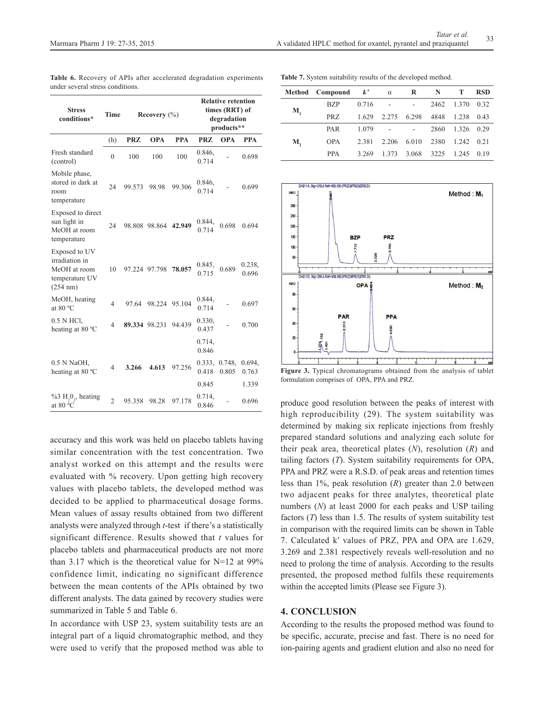| <b>Stress</b><br>conditions*                                                  | <b>Time</b>    |            | Recovery $(\% )$     |               |                    | <b>Relative retention</b><br>times (RRT) of<br>degradation<br>products** |                 |
|-------------------------------------------------------------------------------|----------------|------------|----------------------|---------------|--------------------|--------------------------------------------------------------------------|-----------------|
|                                                                               | (h)            | <b>PRZ</b> | <b>OPA</b>           | <b>PPA</b>    | <b>PRZ</b>         | <b>OPA</b>                                                               | <b>PPA</b>      |
| Fresh standard<br>(control)                                                   | $\overline{0}$ | 100        | 100                  | 100           | 0.846,<br>0.714    |                                                                          | 0.698           |
| Mobile phase,<br>stored in dark at<br>room<br>temperature                     | 24             | 99.573     | 98.98                | 99.306        | 0.846,<br>0.714    |                                                                          | 0.699           |
| Exposed to direct<br>sun light in<br>MeOH at room<br>temperature              | 24             |            | 98.808 98.864 42.949 |               | 0.844,<br>0.714    | 0.698                                                                    | 0.694           |
| Exposed to UV<br>irradiation in<br>MeOH at room<br>temperature UV<br>(254 nm) | 10             |            | 97.224 97.798        | 78.057        | 0.845,<br>0.715    | 0.689                                                                    | 0.238,<br>0.696 |
| MeOH, heating<br>at 80 $\degree$ C                                            | $\overline{4}$ | 97.64      |                      | 98.224 95.104 | 0.844,<br>0.714    |                                                                          | 0.697           |
| 0.5 N HCl,<br>heating at 80 °C                                                | 4              |            | 89.334 98.231        | 94.439        | 0.330,<br>0.437    |                                                                          | 0.700           |
|                                                                               |                |            |                      |               | $0.714$ ,<br>0.846 |                                                                          |                 |
| 0.5 N NaOH,<br>heating at 80 °C                                               | 4              | 3.266      | 4.613                | 97.256        | 0.333.<br>0.418    | 0.748,<br>0.805                                                          | 0.694,<br>0.763 |
|                                                                               |                |            |                      |               | 0.845              |                                                                          | 1.339           |
| $%3 H202$ , heating<br>at 80 °C                                               | $\overline{2}$ | 95.358     | 98.28                | 97.178        | 0.714,<br>0.846    |                                                                          | 0.696           |

**Table 6.** Recovery of APIs after accelerated degradation experiments under several stress conditions.

**Table 7.** System suitability results of the developed method.

|                  | Method Compound $k'$ $\alpha$ |       |               | $\mathbf{R}$ | $\mathbb{N}$ | Т                  | <b>RSD</b> |
|------------------|-------------------------------|-------|---------------|--------------|--------------|--------------------|------------|
| $\mathbf{M}_{1}$ | <b>BZP</b>                    |       | $0.716 - -$   |              |              | 2462 1.370         | 0.32       |
|                  | PRZ                           | 1.629 | 2.275 6.298   |              | 4848         | 1.238              | 0.43       |
| М,               | <b>PAR</b>                    |       | $1.079 - - -$ |              | 2860         | 1.326 0.29         |            |
|                  | <b>OPA</b>                    | 2.381 | 2.206         | 6.010        | 2380         | $1.242 \quad 0.21$ |            |
|                  | <b>PPA</b>                    | 3.269 | 1.373         | 3.068        | 3225         | 1.245              | 0.19       |



**Figure 3.** Typical chromatograms obtained from the analysis of tablet formulation comprises of OPA, PPA and PRZ.

produce good resolution between the peaks of interest with high reproducibility (29). The system suitability was determined by making six replicate injections from freshly prepared standard solutions and analyzing each solute for their peak area, theoretical plates (*N*), resolution (*R*) and tailing factors (*T*). System suitability requirements for OPA, PPA and PRZ were a R.S.D. of peak areas and retention times less than 1%, peak resolution (*R*) greater than 2.0 between two adjacent peaks for three analytes, theoretical plate numbers (*N*) at least 2000 for each peaks and USP tailing factors (*T*) less than 1.5. The results of system suitability test in comparison with the required limits can be shown in Table 7. Calculated k′ values of PRZ, PPA and OPA are 1.629, 3.269 and 2.381 respectively reveals well-resolution and no need to prolong the time of analysis. According to the results presented, the proposed method fulfils these requirements within the accepted limits (Please see Figure 3).

## **4. CONCLUSION**

According to the results the proposed method was found to be specific, accurate, precise and fast. There is no need for ion-pairing agents and gradient elution and also no need for

similar concentration with the test concentration. Two analyst worked on this attempt and the results were evaluated with % recovery. Upon getting high recovery values with placebo tablets, the developed method was decided to be applied to pharmaceutical dosage forms. Mean values of assay results obtained from two different analysts were analyzed through *t*-test if there's a statistically significant difference. Results showed that *t* values for placebo tablets and pharmaceutical products are not more than 3.17 which is the theoretical value for N=12 at 99% confidence limit, indicating no significant difference between the mean contents of the APIs obtained by two different analysts. The data gained by recovery studies were summarized in Table 5 and Table 6.

accuracy and this work was held on placebo tablets having

In accordance with USP 23, system suitability tests are an integral part of a liquid chromatographic method, and they were used to verify that the proposed method was able to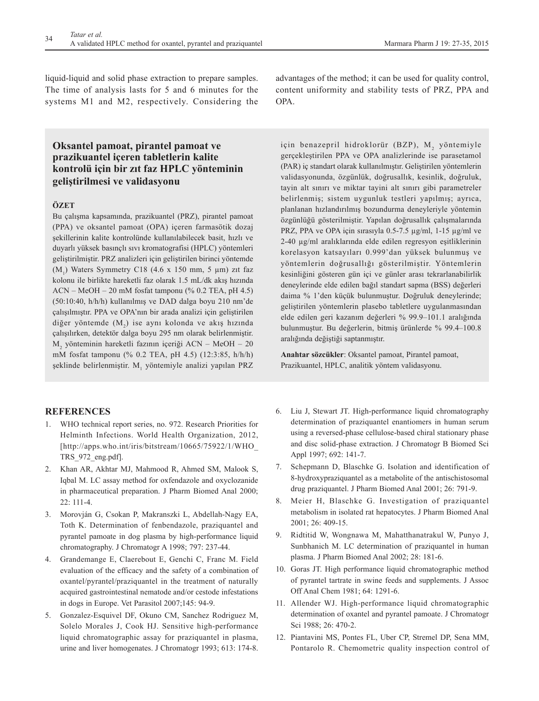liquid-liquid and solid phase extraction to prepare samples. The time of analysis lasts for 5 and 6 minutes for the systems M1 and M2, respectively. Considering the

# **Oksantel pamoat, pirantel pamoat ve prazikuantel içeren tabletlerin kalite kontrolü için bir zıt faz HPLC yönteminin geliştirilmesi ve validasyonu**

## **ÖZET**

Bu çalışma kapsamında, prazikuantel (PRZ), pirantel pamoat (PPA) ve oksantel pamoat (OPA) içeren farmasötik dozaj şekillerinin kalite kontrolünde kullanılabilecek basit, hızlı ve duyarlı yüksek basınçlı sıvı kromatografisi (HPLC) yöntemleri geliştirilmiştir. PRZ analizleri için geliştirilen birinci yöntemde  $(M_1)$  Waters Symmetry C18 (4.6 x 150 mm, 5 µm) zit faz kolonu ile birlikte hareketli faz olarak 1.5 mL/dk akış hızında ACN – MeOH – 20 mM fosfat tamponu (% 0.2 TEA, pH 4.5) (50:10:40, h/h/h) kullanılmış ve DAD dalga boyu 210 nm'de çalışılmıştır. PPA ve OPA'nın bir arada analizi için geliştirilen diğer yöntemde  $(M_2)$  ise aynı kolonda ve akış hızında çalışılırken, detektör dalga boyu 295 nm olarak belirlenmiştir. M2 yönteminin hareketli fazının içeriği ACN – MeOH – 20 mM fosfat tamponu (% 0.2 TEA, pH 4.5) (12:3:85, h/h/h) şeklinde belirlenmiştir. M<sub>1</sub> yöntemiyle analizi yapılan PRZ

## **REFERENCES**

- 1. WHO technical report series, no. 972. Research Priorities for Helminth Infections. World Health Organization, 2012, [http://apps.who.int/iris/bitstream/10665/75922/1/WHO\_ TRS\_972\_eng.pdf].
- 2. Khan AR, Akhtar MJ, Mahmood R, Ahmed SM, Malook S, Iqbal M. LC assay method for oxfendazole and oxyclozanide in pharmaceutical preparation. J Pharm Biomed Anal 2000; 22: 111-4.
- 3. Morovján G, Csokan P, Makranszki L, Abdellah-Nagy EA, Toth K. Determination of fenbendazole, praziquantel and pyrantel pamoate in dog plasma by high-performance liquid chromatography. J Chromatogr A 1998; 797: 237-44.
- 4. Grandemange E, Claerebout E, Genchi C, Franc M. Field evaluation of the efficacy and the safety of a combination of oxantel/pyrantel/praziquantel in the treatment of naturally acquired gastrointestinal nematode and/or cestode infestations in dogs in Europe. Vet Parasitol 2007;145: 94-9.
- 5. Gonzalez-Esquivel DF, Okuno CM, Sanchez Rodriguez M, Solelo Morales J, Cook HJ. Sensitive high-performance liquid chromatographic assay for praziquantel in plasma, urine and liver homogenates. J Chromatogr 1993; 613: 174-8.

advantages of the method; it can be used for quality control, content uniformity and stability tests of PRZ, PPA and OPA.

için benazepril hidroklorür (BZP), M, yöntemiyle gerçekleştirilen PPA ve OPA analizlerinde ise parasetamol (PAR) iç standart olarak kullanılmıştır. Geliştirilen yöntemlerin validasyonunda, özgünlük, doğrusallık, kesinlik, doğruluk, tayin alt sınırı ve miktar tayini alt sınırı gibi parametreler belirlenmiş; sistem uygunluk testleri yapılmış; ayrıca, planlanan hızlandırılmış bozundurma deneyleriyle yöntemin özgünlüğü gösterilmiştir. Yapılan doğrusallık çalışmalarında PRZ, PPA ve OPA için sırasıyla 0.5-7.5 µg/ml, 1-15 µg/ml ve 2-40 µg/ml aralıklarında elde edilen regresyon eşitliklerinin korelasyon katsayıları 0.999'dan yüksek bulunmuş ve yöntemlerin doğrusallığı gösterilmiştir. Yöntemlerin kesinliğini gösteren gün içi ve günler arası tekrarlanabilirlik deneylerinde elde edilen bağıl standart sapma (BSS) değerleri daima % 1'den küçük bulunmuştur. Doğruluk deneylerinde; geliştirilen yöntemlerin plasebo tabletlere uygulanmasından elde edilen geri kazanım değerleri % 99.9–101.1 aralığında bulunmuştur. Bu değerlerin, bitmiş ürünlerde % 99.4–100.8 aralığında değiştiği saptanmıştır.

**Anahtar sözcükler**: Oksantel pamoat, Pirantel pamoat, Prazikuantel, HPLC, analitik yöntem validasyonu.

- 6. Liu J, Stewart JT. High-performance liquid chromatography determination of praziquantel enantiomers in human serum using a reversed-phase cellulose-based chiral stationary phase and disc solid-phase extraction. J Chromatogr B Biomed Sci Appl 1997; 692: 141-7.
- 7. Schepmann D, Blaschke G. Isolation and identification of 8-hydroxypraziquantel as a metabolite of the antischistosomal drug praziquantel. J Pharm Biomed Anal 2001; 26: 791-9.
- 8. Meier H, Blaschke G. Investigation of praziquantel metabolism in isolated rat hepatocytes. J Pharm Biomed Anal 2001; 26: 409-15.
- 9. Ridtitid W, Wongnawa M, Mahatthanatrakul W, Punyo J, Sunbhanich M. LC determination of praziquantel in human plasma. J Pharm Biomed Anal 2002; 28: 181-6.
- 10. Goras JT. High performance liquid chromatographic method of pyrantel tartrate in swine feeds and supplements. J Assoc Off Anal Chem 1981; 64: 1291-6.
- 11. Allender WJ. High-performance liquid chromatographic determination of oxantel and pyrantel pamoate. J Chromatogr Sci 1988; 26: 470-2.
- 12. Piantavini MS, Pontes FL, Uber CP, Stremel DP, Sena MM, Pontarolo R. Chemometric quality inspection control of